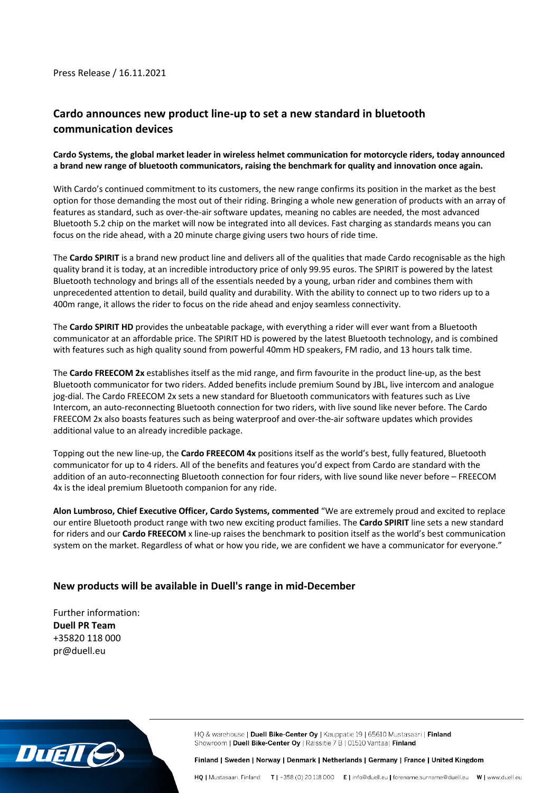### Press Release / 16.11.2021

# **Cardo announces new product line-up to set a new standard in bluetooth communication devices**

### **Cardo Systems, the global market leader in wireless helmet communication for motorcycle riders, today announced a brand new range of bluetooth communicators, raising the benchmark for quality and innovation once again.**

With Cardo's continued commitment to its customers, the new range confirms its position in the market as the best option for those demanding the most out of their riding. Bringing a whole new generation of products with an array of features as standard, such as over-the-air software updates, meaning no cables are needed, the most advanced Bluetooth 5.2 chip on the market will now be integrated into all devices. Fast charging as standards means you can focus on the ride ahead, with a 20 minute charge giving users two hours of ride time.

The **Cardo SPIRIT** is a brand new product line and delivers all of the qualities that made Cardo recognisable as the high quality brand it is today, at an incredible introductory price of only 99.95 euros. The SPIRIT is powered by the latest Bluetooth technology and brings all of the essentials needed by a young, urban rider and combines them with unprecedented attention to detail, build quality and durability. With the ability to connect up to two riders up to a 400m range, it allows the rider to focus on the ride ahead and enjoy seamless connectivity.

The **Cardo SPIRIT HD** provides the unbeatable package, with everything a rider will ever want from a Bluetooth communicator at an affordable price. The SPIRIT HD is powered by the latest Bluetooth technology, and is combined with features such as high quality sound from powerful 40mm HD speakers, FM radio, and 13 hours talk time.

The **Cardo FREECOM 2x** establishes itself as the mid range, and firm favourite in the product line-up, as the best Bluetooth communicator for two riders. Added benefits include premium Sound by JBL, live intercom and analogue jog-dial. The Cardo FREECOM 2x sets a new standard for Bluetooth communicators with features such as Live Intercom, an auto-reconnecting Bluetooth connection for two riders, with live sound like never before. The Cardo FREECOM 2x also boasts features such as being waterproof and over-the-air software updates which provides additional value to an already incredible package.

Topping out the new line-up, the **Cardo FREECOM 4x** positions itself as the world's best, fully featured, Bluetooth communicator for up to 4 riders. All of the benefits and features you'd expect from Cardo are standard with the addition of an auto-reconnecting Bluetooth connection for four riders, with live sound like never before – FREECOM 4x is the ideal premium Bluetooth companion for any ride.

**Alon Lumbroso, Chief Executive Officer, Cardo Systems, commented** "We are extremely proud and excited to replace our entire Bluetooth product range with two new exciting product families. The **Cardo SPIRIT** line sets a new standard for riders and our **Cardo FREECOM** x line-up raises the benchmark to position itself as the world's best communication system on the market. Regardless of what or how you ride, we are confident we have a communicator for everyone."

## **New products will be available in Duell's range in mid-December**

Further information: **Duell PR Team** +35820 118 000 pr@duell.eu



HQ & warehouse | Duell Bike-Center Oy | Kauppatie 19 | 65610 Mustasaari | Finland Showroom | Duell Bike-Center Oy | Rälssitie 7 B | 01510 Vantaa | Finland